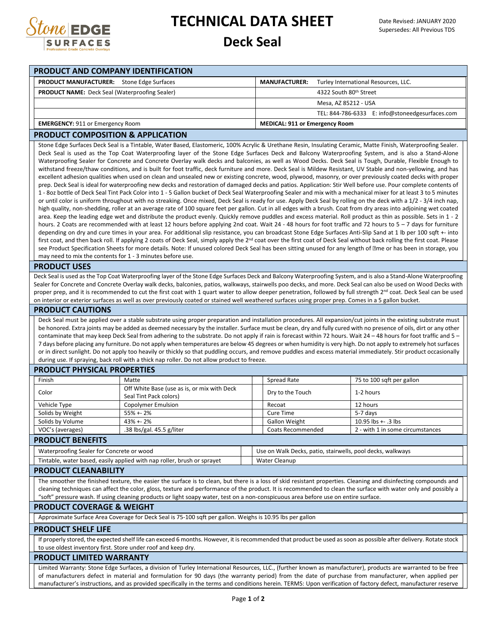

## **TECHNICAL DATA SHEET**

## **Deck Seal**

| PRODUCT AND COMPANY IDENTIFICATION                                                                                                                                                                                                                                                                                                                                                                                                                                                                                                                                                                                                                                                                                                                                                                                                                                                                                                                                                                                                                                                                                                                                                                                                                                                                                                                                                                                                                                                                                                                                                                                                                                                                                                                                                                                                                                                                                                                                                                                                                                                                                                                                                                                                                                                                                                                                                                                                                                                                                                                                                                                                                                                                                                                                                                                                                                                                                                                             |                                             |  |                                                            |                                    |                                                 |
|----------------------------------------------------------------------------------------------------------------------------------------------------------------------------------------------------------------------------------------------------------------------------------------------------------------------------------------------------------------------------------------------------------------------------------------------------------------------------------------------------------------------------------------------------------------------------------------------------------------------------------------------------------------------------------------------------------------------------------------------------------------------------------------------------------------------------------------------------------------------------------------------------------------------------------------------------------------------------------------------------------------------------------------------------------------------------------------------------------------------------------------------------------------------------------------------------------------------------------------------------------------------------------------------------------------------------------------------------------------------------------------------------------------------------------------------------------------------------------------------------------------------------------------------------------------------------------------------------------------------------------------------------------------------------------------------------------------------------------------------------------------------------------------------------------------------------------------------------------------------------------------------------------------------------------------------------------------------------------------------------------------------------------------------------------------------------------------------------------------------------------------------------------------------------------------------------------------------------------------------------------------------------------------------------------------------------------------------------------------------------------------------------------------------------------------------------------------------------------------------------------------------------------------------------------------------------------------------------------------------------------------------------------------------------------------------------------------------------------------------------------------------------------------------------------------------------------------------------------------------------------------------------------------------------------------------------------------|---------------------------------------------|--|------------------------------------------------------------|------------------------------------|-------------------------------------------------|
| <b>PRODUCT MANUFACTURER:</b> Stone Edge Surfaces                                                                                                                                                                                                                                                                                                                                                                                                                                                                                                                                                                                                                                                                                                                                                                                                                                                                                                                                                                                                                                                                                                                                                                                                                                                                                                                                                                                                                                                                                                                                                                                                                                                                                                                                                                                                                                                                                                                                                                                                                                                                                                                                                                                                                                                                                                                                                                                                                                                                                                                                                                                                                                                                                                                                                                                                                                                                                                               |                                             |  | <b>MANUFACTURER:</b>                                       |                                    | Turley International Resources, LLC.            |
| <b>PRODUCT NAME:</b> Deck Seal (Waterproofing Sealer)                                                                                                                                                                                                                                                                                                                                                                                                                                                                                                                                                                                                                                                                                                                                                                                                                                                                                                                                                                                                                                                                                                                                                                                                                                                                                                                                                                                                                                                                                                                                                                                                                                                                                                                                                                                                                                                                                                                                                                                                                                                                                                                                                                                                                                                                                                                                                                                                                                                                                                                                                                                                                                                                                                                                                                                                                                                                                                          |                                             |  |                                                            | 4322 South 80 <sup>th</sup> Street |                                                 |
|                                                                                                                                                                                                                                                                                                                                                                                                                                                                                                                                                                                                                                                                                                                                                                                                                                                                                                                                                                                                                                                                                                                                                                                                                                                                                                                                                                                                                                                                                                                                                                                                                                                                                                                                                                                                                                                                                                                                                                                                                                                                                                                                                                                                                                                                                                                                                                                                                                                                                                                                                                                                                                                                                                                                                                                                                                                                                                                                                                |                                             |  |                                                            | Mesa, AZ 85212 - USA               |                                                 |
|                                                                                                                                                                                                                                                                                                                                                                                                                                                                                                                                                                                                                                                                                                                                                                                                                                                                                                                                                                                                                                                                                                                                                                                                                                                                                                                                                                                                                                                                                                                                                                                                                                                                                                                                                                                                                                                                                                                                                                                                                                                                                                                                                                                                                                                                                                                                                                                                                                                                                                                                                                                                                                                                                                                                                                                                                                                                                                                                                                |                                             |  |                                                            |                                    | TEL: 844-786-6333 E: info@stoneedgesurfaces.com |
| <b>EMERGENCY: 911 or Emergency Room</b>                                                                                                                                                                                                                                                                                                                                                                                                                                                                                                                                                                                                                                                                                                                                                                                                                                                                                                                                                                                                                                                                                                                                                                                                                                                                                                                                                                                                                                                                                                                                                                                                                                                                                                                                                                                                                                                                                                                                                                                                                                                                                                                                                                                                                                                                                                                                                                                                                                                                                                                                                                                                                                                                                                                                                                                                                                                                                                                        |                                             |  | <b>MEDICAL: 911 or Emergency Room</b>                      |                                    |                                                 |
| <b>PRODUCT COMPOSITION &amp; APPLICATION</b>                                                                                                                                                                                                                                                                                                                                                                                                                                                                                                                                                                                                                                                                                                                                                                                                                                                                                                                                                                                                                                                                                                                                                                                                                                                                                                                                                                                                                                                                                                                                                                                                                                                                                                                                                                                                                                                                                                                                                                                                                                                                                                                                                                                                                                                                                                                                                                                                                                                                                                                                                                                                                                                                                                                                                                                                                                                                                                                   |                                             |  |                                                            |                                    |                                                 |
|                                                                                                                                                                                                                                                                                                                                                                                                                                                                                                                                                                                                                                                                                                                                                                                                                                                                                                                                                                                                                                                                                                                                                                                                                                                                                                                                                                                                                                                                                                                                                                                                                                                                                                                                                                                                                                                                                                                                                                                                                                                                                                                                                                                                                                                                                                                                                                                                                                                                                                                                                                                                                                                                                                                                                                                                                                                                                                                                                                |                                             |  |                                                            |                                    |                                                 |
| Stone Edge Surfaces Deck Seal is a Tintable, Water Based, Elastomeric, 100% Acrylic & Urethane Resin, Insulating Ceramic, Matte Finish, Waterproofing Sealer.<br>Deck Seal is used as the Top Coat Waterproofing layer of the Stone Edge Surfaces Deck and Balcony Waterproofing System, and is also a Stand-Alone<br>Waterproofing Sealer for Concrete and Concrete Overlay walk decks and balconies, as well as Wood Decks. Deck Seal is Tough, Durable, Flexible Enough to<br>withstand freeze/thaw conditions, and is built for foot traffic, deck furniture and more. Deck Seal is Mildew Resistant, UV Stable and non-yellowing, and has<br>excellent adhesion qualities when used on clean and unsealed new or existing concrete, wood, plywood, masonry, or over previously coated decks with proper<br>prep. Deck Seal is ideal for waterproofing new decks and restoration of damaged decks and patios. Application: Stir Well before use. Pour complete contents of<br>1 - 8oz bottle of Deck Seal Tint Pack Color into 1 - 5 Gallon bucket of Deck Seal Waterproofing Sealer and mix with a mechanical mixer for at least 3 to 5 minutes<br>or until color is uniform throughout with no streaking. Once mixed, Deck Seal is ready for use. Apply Deck Seal by rolling on the deck with a 1/2 - 3/4 inch nap,<br>high quality, non-shedding, roller at an average rate of 100 square feet per gallon. Cut in all edges with a brush. Coat from dry areas into adjoining wet coated<br>area. Keep the leading edge wet and distribute the product evenly. Quickly remove puddles and excess material. Roll product as thin as possible. Sets in 1 - 2<br>hours. 2 Coats are recommended with at least 12 hours before applying 2nd coat. Wait 24 - 48 hours for foot traffic and 72 hours to 5 – 7 days for furniture<br>depending on dry and cure times in your area. For additional slip resistance, you can broadcast Stone Edge Surfaces Anti-Slip Sand at 1 lb per 100 sqft +- into<br>first coat, and then back roll. If applying 2 coats of Deck Seal, simply apply the 2 <sup>nd</sup> coat over the first coat of Deck Seal without back rolling the first coat. Please<br>see Product Specification Sheets for more details. Note: If unused colored Deck Seal has been sitting unused for any length of ame or has been in storage, you<br>may need to mix the contents for 1 - 3 minutes before use.<br><b>PRODUCT USES</b><br>Deck Seal is used as the Top Coat Waterproofing layer of the Stone Edge Surfaces Deck and Balcony Waterproofing System, and is also a Stand-Alone Waterproofing<br>Sealer for Concrete and Concrete Overlay walk decks, balconies, patios, walkways, stairwells poo decks, and more. Deck Seal can also be used on Wood Decks with<br>proper prep, and it is recommended to cut the first coat with 1 quart water to allow deeper penetration, followed by full strength 2nd coat. Deck Seal can be used |                                             |  |                                                            |                                    |                                                 |
| on interior or exterior surfaces as well as over previously coated or stained well weathered surfaces using proper prep. Comes in a 5 gallon bucket.<br><b>PRODUCT CAUTIONS</b>                                                                                                                                                                                                                                                                                                                                                                                                                                                                                                                                                                                                                                                                                                                                                                                                                                                                                                                                                                                                                                                                                                                                                                                                                                                                                                                                                                                                                                                                                                                                                                                                                                                                                                                                                                                                                                                                                                                                                                                                                                                                                                                                                                                                                                                                                                                                                                                                                                                                                                                                                                                                                                                                                                                                                                                |                                             |  |                                                            |                                    |                                                 |
| be honored. Extra joints may be added as deemed necessary by the installer. Surface must be clean, dry and fully cured with no presence of oils, dirt or any other<br>contaminate that may keep Deck Seal from adhering to the substrate. Do not apply if rain is forecast within 72 hours. Wait 24 - 48 hours for foot traffic and 5 -<br>7 days before placing any furniture. Do not apply when temperatures are below 45 degrees or when humidity is very high. Do not apply to extremely hot surfaces<br>or in direct sunlight. Do not apply too heavily or thickly so that puddling occurs, and remove puddles and excess material immediately. Stir product occasionally<br>during use. If spraying, back roll with a thick nap roller. Do not allow product to freeze.<br><b>PRODUCT PHYSICAL PROPERTIES</b>                                                                                                                                                                                                                                                                                                                                                                                                                                                                                                                                                                                                                                                                                                                                                                                                                                                                                                                                                                                                                                                                                                                                                                                                                                                                                                                                                                                                                                                                                                                                                                                                                                                                                                                                                                                                                                                                                                                                                                                                                                                                                                                                            |                                             |  |                                                            |                                    |                                                 |
| Finish                                                                                                                                                                                                                                                                                                                                                                                                                                                                                                                                                                                                                                                                                                                                                                                                                                                                                                                                                                                                                                                                                                                                                                                                                                                                                                                                                                                                                                                                                                                                                                                                                                                                                                                                                                                                                                                                                                                                                                                                                                                                                                                                                                                                                                                                                                                                                                                                                                                                                                                                                                                                                                                                                                                                                                                                                                                                                                                                                         | Matte                                       |  | Spread Rate                                                |                                    | 75 to 100 sqft per gallon                       |
|                                                                                                                                                                                                                                                                                                                                                                                                                                                                                                                                                                                                                                                                                                                                                                                                                                                                                                                                                                                                                                                                                                                                                                                                                                                                                                                                                                                                                                                                                                                                                                                                                                                                                                                                                                                                                                                                                                                                                                                                                                                                                                                                                                                                                                                                                                                                                                                                                                                                                                                                                                                                                                                                                                                                                                                                                                                                                                                                                                | Off White Base (use as is, or mix with Deck |  |                                                            |                                    |                                                 |
| Color                                                                                                                                                                                                                                                                                                                                                                                                                                                                                                                                                                                                                                                                                                                                                                                                                                                                                                                                                                                                                                                                                                                                                                                                                                                                                                                                                                                                                                                                                                                                                                                                                                                                                                                                                                                                                                                                                                                                                                                                                                                                                                                                                                                                                                                                                                                                                                                                                                                                                                                                                                                                                                                                                                                                                                                                                                                                                                                                                          | Seal Tint Pack colors)                      |  | Dry to the Touch                                           |                                    | 1-2 hours                                       |
| Vehicle Type                                                                                                                                                                                                                                                                                                                                                                                                                                                                                                                                                                                                                                                                                                                                                                                                                                                                                                                                                                                                                                                                                                                                                                                                                                                                                                                                                                                                                                                                                                                                                                                                                                                                                                                                                                                                                                                                                                                                                                                                                                                                                                                                                                                                                                                                                                                                                                                                                                                                                                                                                                                                                                                                                                                                                                                                                                                                                                                                                   | <b>Copolymer Emulsion</b>                   |  | Recoat                                                     |                                    | 12 hours                                        |
| Solids by Weight                                                                                                                                                                                                                                                                                                                                                                                                                                                                                                                                                                                                                                                                                                                                                                                                                                                                                                                                                                                                                                                                                                                                                                                                                                                                                                                                                                                                                                                                                                                                                                                                                                                                                                                                                                                                                                                                                                                                                                                                                                                                                                                                                                                                                                                                                                                                                                                                                                                                                                                                                                                                                                                                                                                                                                                                                                                                                                                                               | 55% +- 2%                                   |  | <b>Cure Time</b>                                           |                                    | 5-7 days                                        |
| Solids by Volume                                                                                                                                                                                                                                                                                                                                                                                                                                                                                                                                                                                                                                                                                                                                                                                                                                                                                                                                                                                                                                                                                                                                                                                                                                                                                                                                                                                                                                                                                                                                                                                                                                                                                                                                                                                                                                                                                                                                                                                                                                                                                                                                                                                                                                                                                                                                                                                                                                                                                                                                                                                                                                                                                                                                                                                                                                                                                                                                               | 43% +- 2%                                   |  | Gallon Weight                                              |                                    | 10.95 lbs +- .3 lbs                             |
| VOC's (averages)                                                                                                                                                                                                                                                                                                                                                                                                                                                                                                                                                                                                                                                                                                                                                                                                                                                                                                                                                                                                                                                                                                                                                                                                                                                                                                                                                                                                                                                                                                                                                                                                                                                                                                                                                                                                                                                                                                                                                                                                                                                                                                                                                                                                                                                                                                                                                                                                                                                                                                                                                                                                                                                                                                                                                                                                                                                                                                                                               | .38 lbs/gal. 45.5 g/liter                   |  | Coats Recommended                                          |                                    | 2 - with 1 in some circumstances                |
| <b>PRODUCT BENEFITS</b>                                                                                                                                                                                                                                                                                                                                                                                                                                                                                                                                                                                                                                                                                                                                                                                                                                                                                                                                                                                                                                                                                                                                                                                                                                                                                                                                                                                                                                                                                                                                                                                                                                                                                                                                                                                                                                                                                                                                                                                                                                                                                                                                                                                                                                                                                                                                                                                                                                                                                                                                                                                                                                                                                                                                                                                                                                                                                                                                        |                                             |  |                                                            |                                    |                                                 |
| Waterproofing Sealer for Concrete or wood                                                                                                                                                                                                                                                                                                                                                                                                                                                                                                                                                                                                                                                                                                                                                                                                                                                                                                                                                                                                                                                                                                                                                                                                                                                                                                                                                                                                                                                                                                                                                                                                                                                                                                                                                                                                                                                                                                                                                                                                                                                                                                                                                                                                                                                                                                                                                                                                                                                                                                                                                                                                                                                                                                                                                                                                                                                                                                                      |                                             |  | Use on Walk Decks, patio, stairwells, pool decks, walkways |                                    |                                                 |
| Tintable, water based, easily applied with nap roller, brush or sprayet                                                                                                                                                                                                                                                                                                                                                                                                                                                                                                                                                                                                                                                                                                                                                                                                                                                                                                                                                                                                                                                                                                                                                                                                                                                                                                                                                                                                                                                                                                                                                                                                                                                                                                                                                                                                                                                                                                                                                                                                                                                                                                                                                                                                                                                                                                                                                                                                                                                                                                                                                                                                                                                                                                                                                                                                                                                                                        |                                             |  | <b>Water Cleanup</b>                                       |                                    |                                                 |
| <b>PRODUCT CLEANABILITY</b>                                                                                                                                                                                                                                                                                                                                                                                                                                                                                                                                                                                                                                                                                                                                                                                                                                                                                                                                                                                                                                                                                                                                                                                                                                                                                                                                                                                                                                                                                                                                                                                                                                                                                                                                                                                                                                                                                                                                                                                                                                                                                                                                                                                                                                                                                                                                                                                                                                                                                                                                                                                                                                                                                                                                                                                                                                                                                                                                    |                                             |  |                                                            |                                    |                                                 |
| The smoother the finished texture, the easier the surface is to clean, but there is a loss of skid resistant properties. Cleaning and disinfecting compounds and<br>cleaning techniques can affect the color, gloss, texture and performance of the product. It is recommended to clean the surface with water only and possibly a<br>"soft" pressure wash. If using cleaning products or light soapy water, test on a non-conspicuous area before use on entire surface.                                                                                                                                                                                                                                                                                                                                                                                                                                                                                                                                                                                                                                                                                                                                                                                                                                                                                                                                                                                                                                                                                                                                                                                                                                                                                                                                                                                                                                                                                                                                                                                                                                                                                                                                                                                                                                                                                                                                                                                                                                                                                                                                                                                                                                                                                                                                                                                                                                                                                      |                                             |  |                                                            |                                    |                                                 |
| <b>PRODUCT COVERAGE &amp; WEIGHT</b>                                                                                                                                                                                                                                                                                                                                                                                                                                                                                                                                                                                                                                                                                                                                                                                                                                                                                                                                                                                                                                                                                                                                                                                                                                                                                                                                                                                                                                                                                                                                                                                                                                                                                                                                                                                                                                                                                                                                                                                                                                                                                                                                                                                                                                                                                                                                                                                                                                                                                                                                                                                                                                                                                                                                                                                                                                                                                                                           |                                             |  |                                                            |                                    |                                                 |
| Approximate Surface Area Coverage for Deck Seal is 75-100 sqft per gallon. Weighs is 10.95 lbs per gallon                                                                                                                                                                                                                                                                                                                                                                                                                                                                                                                                                                                                                                                                                                                                                                                                                                                                                                                                                                                                                                                                                                                                                                                                                                                                                                                                                                                                                                                                                                                                                                                                                                                                                                                                                                                                                                                                                                                                                                                                                                                                                                                                                                                                                                                                                                                                                                                                                                                                                                                                                                                                                                                                                                                                                                                                                                                      |                                             |  |                                                            |                                    |                                                 |
| <b>PRODUCT SHELF LIFE</b>                                                                                                                                                                                                                                                                                                                                                                                                                                                                                                                                                                                                                                                                                                                                                                                                                                                                                                                                                                                                                                                                                                                                                                                                                                                                                                                                                                                                                                                                                                                                                                                                                                                                                                                                                                                                                                                                                                                                                                                                                                                                                                                                                                                                                                                                                                                                                                                                                                                                                                                                                                                                                                                                                                                                                                                                                                                                                                                                      |                                             |  |                                                            |                                    |                                                 |
| If properly stored, the expected shelf life can exceed 6 months. However, it is recommended that product be used as soon as possible after delivery. Rotate stock<br>to use oldest inventory first. Store under roof and keep dry.                                                                                                                                                                                                                                                                                                                                                                                                                                                                                                                                                                                                                                                                                                                                                                                                                                                                                                                                                                                                                                                                                                                                                                                                                                                                                                                                                                                                                                                                                                                                                                                                                                                                                                                                                                                                                                                                                                                                                                                                                                                                                                                                                                                                                                                                                                                                                                                                                                                                                                                                                                                                                                                                                                                             |                                             |  |                                                            |                                    |                                                 |
| PRODUCT LIMITED WARRANTY                                                                                                                                                                                                                                                                                                                                                                                                                                                                                                                                                                                                                                                                                                                                                                                                                                                                                                                                                                                                                                                                                                                                                                                                                                                                                                                                                                                                                                                                                                                                                                                                                                                                                                                                                                                                                                                                                                                                                                                                                                                                                                                                                                                                                                                                                                                                                                                                                                                                                                                                                                                                                                                                                                                                                                                                                                                                                                                                       |                                             |  |                                                            |                                    |                                                 |
| Limited Warranty: Stone Edge Surfaces, a division of Turley International Resources, LLC., (further known as manufacturer), products are warranted to be free<br>of manufacturers defect in material and formulation for 90 days (the warranty period) from the date of purchase from manufacturer, when applied per<br>manufacturer's instructions, and as provided specifically in the terms and conditions herein. TERMS: Upon verification of factory defect, manufacturer reserve                                                                                                                                                                                                                                                                                                                                                                                                                                                                                                                                                                                                                                                                                                                                                                                                                                                                                                                                                                                                                                                                                                                                                                                                                                                                                                                                                                                                                                                                                                                                                                                                                                                                                                                                                                                                                                                                                                                                                                                                                                                                                                                                                                                                                                                                                                                                                                                                                                                                         |                                             |  |                                                            |                                    |                                                 |
|                                                                                                                                                                                                                                                                                                                                                                                                                                                                                                                                                                                                                                                                                                                                                                                                                                                                                                                                                                                                                                                                                                                                                                                                                                                                                                                                                                                                                                                                                                                                                                                                                                                                                                                                                                                                                                                                                                                                                                                                                                                                                                                                                                                                                                                                                                                                                                                                                                                                                                                                                                                                                                                                                                                                                                                                                                                                                                                                                                |                                             |  |                                                            |                                    |                                                 |